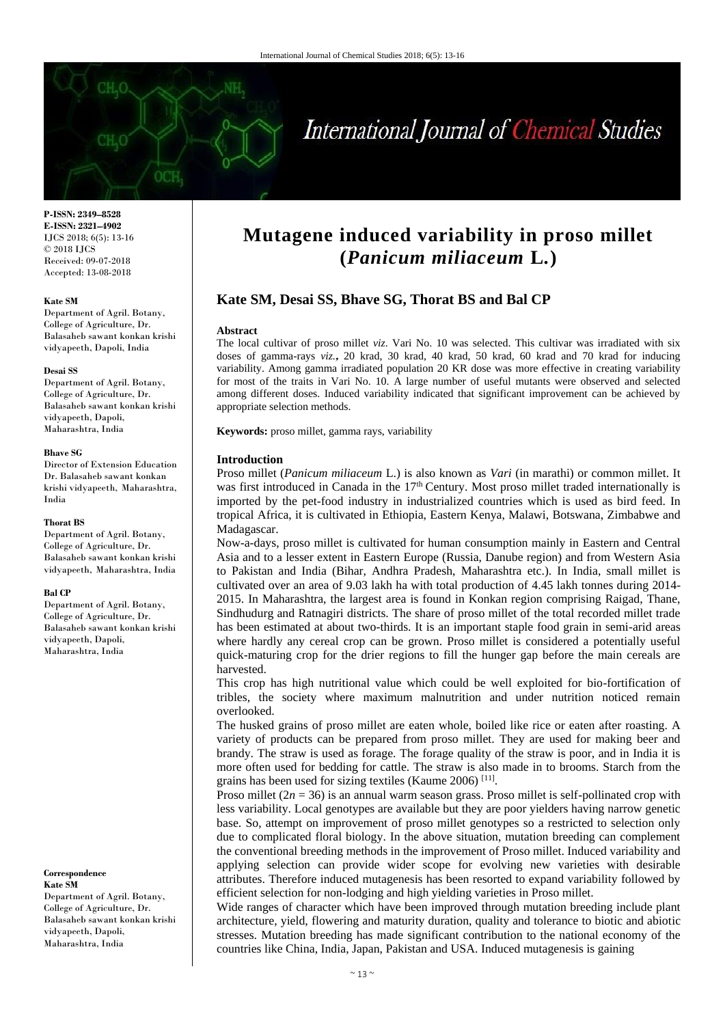

# International Journal of Chemical Studies

**P-ISSN: 2349–8528 E-ISSN: 2321–4902** IJCS 2018; 6(5): 13-16 © 2018 IJCS Received: 09-07-2018 Accepted: 13-08-2018

## **Kate SM**

Department of Agril. Botany, College of Agriculture, Dr. Balasaheb sawant konkan krishi vidyapeeth, Dapoli, India

## **Desai SS**

Department of Agril. Botany, College of Agriculture, Dr. Balasaheb sawant konkan krishi vidyapeeth, Dapoli, Maharashtra, India

#### **Bhave SG**

Director of Extension Education Dr. Balasaheb sawant konkan krishi vidyapeeth, Maharashtra, India

## **Thorat BS**

Department of Agril. Botany, College of Agriculture, Dr. Balasaheb sawant konkan krishi vidyapeeth, Maharashtra, India

## **Bal CP**

Department of Agril. Botany, College of Agriculture, Dr. Balasaheb sawant konkan krishi vidyapeeth, Dapoli, Maharashtra, India

### **Correspondence**

**Kate SM** Department of Agril. Botany, College of Agriculture, Dr. Balasaheb sawant konkan krishi vidyapeeth, Dapoli, Maharashtra, India

## **Mutagene induced variability in proso millet (***Panicum miliaceum* **L***.***)**

## **Kate SM, Desai SS, Bhave SG, Thorat BS and Bal CP**

## **Abstract**

The local cultivar of proso millet *viz*. Vari No. 10 was selected. This cultivar was irradiated with six doses of gamma-rays *viz.***,** 20 krad, 30 krad, 40 krad, 50 krad, 60 krad and 70 krad for inducing variability. Among gamma irradiated population 20 KR dose was more effective in creating variability for most of the traits in Vari No. 10. A large number of useful mutants were observed and selected among different doses. Induced variability indicated that significant improvement can be achieved by appropriate selection methods.

**Keywords:** proso millet, gamma rays, variability

## **Introduction**

Proso millet (*Panicum miliaceum* L.) is also known as *Vari* (in marathi) or common millet. It was first introduced in Canada in the 17<sup>th</sup> Century. Most proso millet traded internationally is imported by the pet-food industry in industrialized countries which is used as bird feed. In tropical Africa, it is cultivated in Ethiopia, Eastern Kenya, Malawi, Botswana, Zimbabwe and Madagascar.

Now-a-days, proso millet is cultivated for human consumption mainly in Eastern and Central Asia and to a lesser extent in Eastern Europe (Russia, Danube region) and from Western Asia to Pakistan and India (Bihar, Andhra Pradesh, Maharashtra etc.). In India, small millet is cultivated over an area of 9.03 lakh ha with total production of 4.45 lakh tonnes during 2014- 2015. In Maharashtra, the largest area is found in Konkan region comprising Raigad, Thane, Sindhudurg and Ratnagiri districts. The share of proso millet of the total recorded millet trade has been estimated at about two-thirds. It is an important staple food grain in semi-arid areas where hardly any cereal crop can be grown. Proso millet is considered a potentially useful quick-maturing crop for the drier regions to fill the hunger gap before the main cereals are harvested.

This crop has high nutritional value which could be well exploited for bio-fortification of tribles, the society where maximum malnutrition and under nutrition noticed remain overlooked.

The husked grains of proso millet are eaten whole, boiled like rice or eaten after roasting. A variety of products can be prepared from proso millet. They are used for making beer and brandy. The straw is used as forage. The forage quality of the straw is poor, and in India it is more often used for bedding for cattle. The straw is also made in to brooms. Starch from the grains has been used for sizing textiles (Kaume 2006)<sup>[11]</sup>.

Proso millet  $(2n = 36)$  is an annual warm season grass. Proso millet is self-pollinated crop with less variability. Local genotypes are available but they are poor yielders having narrow genetic base. So, attempt on improvement of proso millet genotypes so a restricted to selection only due to complicated floral biology. In the above situation, mutation breeding can complement the conventional breeding methods in the improvement of Proso millet. Induced variability and applying selection can provide wider scope for evolving new varieties with desirable attributes. Therefore induced mutagenesis has been resorted to expand variability followed by efficient selection for non-lodging and high yielding varieties in Proso millet.

Wide ranges of character which have been improved through mutation breeding include plant architecture, yield, flowering and maturity duration, quality and tolerance to biotic and abiotic stresses. Mutation breeding has made significant contribution to the national economy of the countries like China, India, Japan, Pakistan and USA. Induced mutagenesis is gaining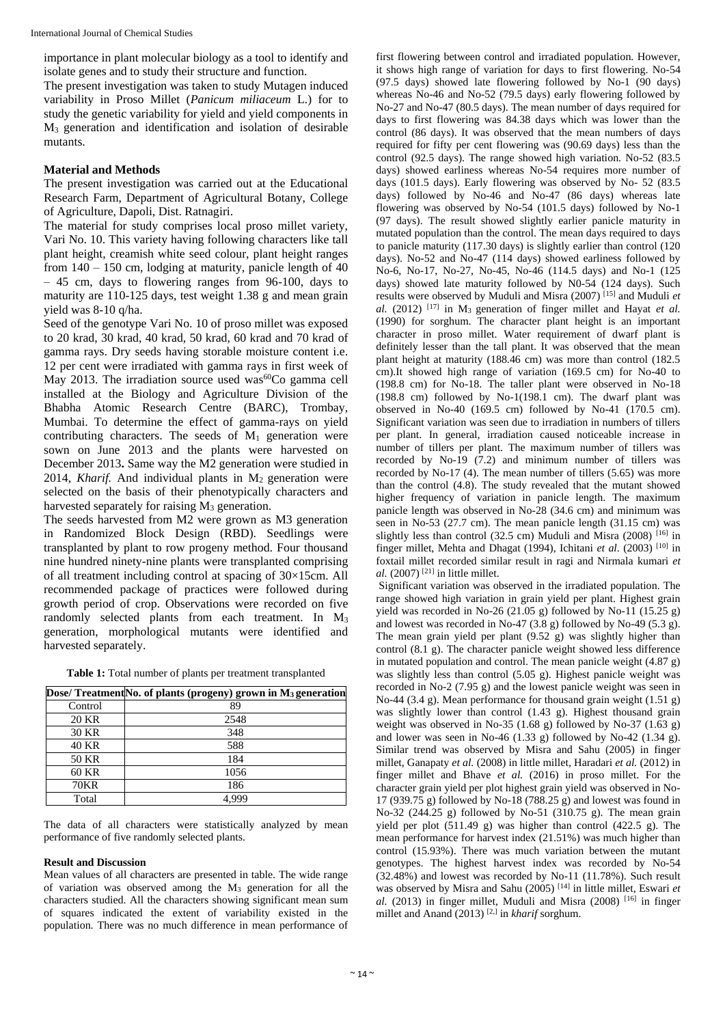importance in plant molecular biology as a tool to identify and isolate genes and to study their structure and function.

The present investigation was taken to study Mutagen induced variability in Proso Millet (*Panicum miliaceum* L*.*) for to study the genetic variability for yield and yield components in M<sup>3</sup> generation and identification and isolation of desirable mutants.

## **Material and Methods**

The present investigation was carried out at the Educational Research Farm, Department of Agricultural Botany, College of Agriculture, Dapoli, Dist. Ratnagiri.

The material for study comprises local proso millet variety, Vari No. 10. This variety having following characters like tall plant height, creamish white seed colour, plant height ranges from  $140 - 150$  cm, lodging at maturity, panicle length of  $40$ – 45 cm, days to flowering ranges from 96-100, days to maturity are 110-125 days, test weight 1.38 g and mean grain yield was 8-10 q/ha.

Seed of the genotype Vari No. 10 of proso millet was exposed to 20 krad, 30 krad, 40 krad, 50 krad, 60 krad and 70 krad of gamma rays. Dry seeds having storable moisture content i.e. 12 per cent were irradiated with gamma rays in first week of May 2013. The irradiation source used was<sup>60</sup>Co gamma cell installed at the Biology and Agriculture Division of the Bhabha Atomic Research Centre (BARC), Trombay, Mumbai. To determine the effect of gamma-rays on yield contributing characters. The seeds of  $M_1$  generation were sown on June 2013 and the plants were harvested on December 2013**.** Same way the M2 generation were studied in 2014, *Kharif.* And individual plants in M<sub>2</sub> generation were selected on the basis of their phenotypically characters and harvested separately for raising  $M<sub>3</sub>$  generation.

The seeds harvested from M2 were grown as M3 generation in Randomized Block Design (RBD). Seedlings were transplanted by plant to row progeny method. Four thousand nine hundred ninety-nine plants were transplanted comprising of all treatment including control at spacing of 30×15cm. All recommended package of practices were followed during growth period of crop. Observations were recorded on five randomly selected plants from each treatment. In M<sub>3</sub> generation, morphological mutants were identified and harvested separately.

**Table 1:** Total number of plants per treatment transplanted

|              | Dose/ Treatment No. of plants (progeny) grown in M <sub>3</sub> generation |
|--------------|----------------------------------------------------------------------------|
| Control      | 89                                                                         |
| 20 KR        | 2548                                                                       |
| 30 KR        | 348                                                                        |
| <b>40 KR</b> | 588                                                                        |
| 50 KR        | 184                                                                        |
| 60 KR        | 1056                                                                       |
| <b>70KR</b>  | 186                                                                        |
| Total        |                                                                            |

The data of all characters were statistically analyzed by mean performance of five randomly selected plants.

## **Result and Discussion**

Mean values of all characters are presented in table. The wide range of variation was observed among the M<sup>3</sup> generation for all the characters studied. All the characters showing significant mean sum of squares indicated the extent of variability existed in the population. There was no much difference in mean performance of

first flowering between control and irradiated population. However, it shows high range of variation for days to first flowering. No-54 (97.5 days) showed late flowering followed by No-1 (90 days) whereas No-46 and No-52 (79.5 days) early flowering followed by No-27 and No-47 (80.5 days). The mean number of days required for days to first flowering was 84.38 days which was lower than the control (86 days). It was observed that the mean numbers of days required for fifty per cent flowering was (90.69 days) less than the control (92.5 days). The range showed high variation. No-52 (83.5 days) showed earliness whereas No-54 requires more number of days (101.5 days). Early flowering was observed by No- 52 (83.5 days) followed by No-46 and No-47 (86 days) whereas late flowering was observed by No-54 (101.5 days) followed by No-1 (97 days). The result showed slightly earlier panicle maturity in mutated population than the control. The mean days required to days to panicle maturity (117.30 days) is slightly earlier than control (120 days). No-52 and No-47 (114 days) showed earliness followed by No-6, No-17, No-27, No-45, No-46 (114.5 days) and No-1 (125 days) showed late maturity followed by N0-54 (124 days). Such results were observed by Muduli and Misra (2007) [15] and Muduli *et al.* (2012) [17] in M3 generation of finger millet and Hayat *et al.*  (1990) for sorghum. The character plant height is an important character in proso millet. Water requirement of dwarf plant is definitely lesser than the tall plant. It was observed that the mean plant height at maturity (188.46 cm) was more than control (182.5 cm).It showed high range of variation (169.5 cm) for No-40 to (198.8 cm) for No-18. The taller plant were observed in No-18 (198.8 cm) followed by No-1(198.1 cm). The dwarf plant was observed in No-40 (169.5 cm) followed by No-41 (170.5 cm). Significant variation was seen due to irradiation in numbers of tillers per plant. In general, irradiation caused noticeable increase in number of tillers per plant. The maximum number of tillers was recorded by No-19 (7.2) and minimum number of tillers was recorded by No-17 (4). The mean number of tillers (5.65) was more than the control (4.8). The study revealed that the mutant showed higher frequency of variation in panicle length. The maximum panicle length was observed in No-28 (34.6 cm) and minimum was seen in No-53 (27.7 cm). The mean panicle length (31.15 cm) was slightly less than control (32.5 cm) Muduli and Misra (2008)  $[16]$  in finger millet, Mehta and Dhagat (1994), Ichitani *et al*. (2003) [10] in foxtail millet recorded similar result in ragi and Nirmala kumari *et al.* (2007)<sup>[21]</sup> in little millet.

Significant variation was observed in the irradiated population. The range showed high variation in grain yield per plant. Highest grain yield was recorded in No-26 (21.05 g) followed by No-11 (15.25 g) and lowest was recorded in No-47 (3.8 g) followed by No-49 (5.3 g). The mean grain yield per plant  $(9.52 \text{ g})$  was slightly higher than control (8.1 g). The character panicle weight showed less difference in mutated population and control. The mean panicle weight (4.87 g) was slightly less than control (5.05 g). Highest panicle weight was recorded in No-2 (7.95 g) and the lowest panicle weight was seen in No-44 (3.4 g). Mean performance for thousand grain weight (1.51 g) was slightly lower than control (1.43 g). Highest thousand grain weight was observed in No-35 (1.68 g) followed by No-37 (1.63 g) and lower was seen in No-46 (1.33 g) followed by No-42 (1.34 g). Similar trend was observed by Misra and Sahu (2005) in finger millet, Ganapaty *et al.* (2008) in little millet*,* Haradari *et al.* (2012) in finger millet and Bhave *et al.* (2016) in proso millet. For the character grain yield per plot highest grain yield was observed in No-17 (939.75 g) followed by No-18 (788.25 g) and lowest was found in No-32 (244.25 g) followed by No-51 (310.75 g). The mean grain yield per plot (511.49 g) was higher than control (422.5 g). The mean performance for harvest index (21.51%) was much higher than control (15.93%). There was much variation between the mutant genotypes. The highest harvest index was recorded by No-54 (32.48%) and lowest was recorded by No-11 (11.78%). Such result was observed by Misra and Sahu (2005) [14] in little millet, Eswari *et*   $al.$  (2013) in finger millet, Muduli and Misra (2008)  $[16]$  in finger millet and Anand (2013) [2,] in *kharif* sorghum.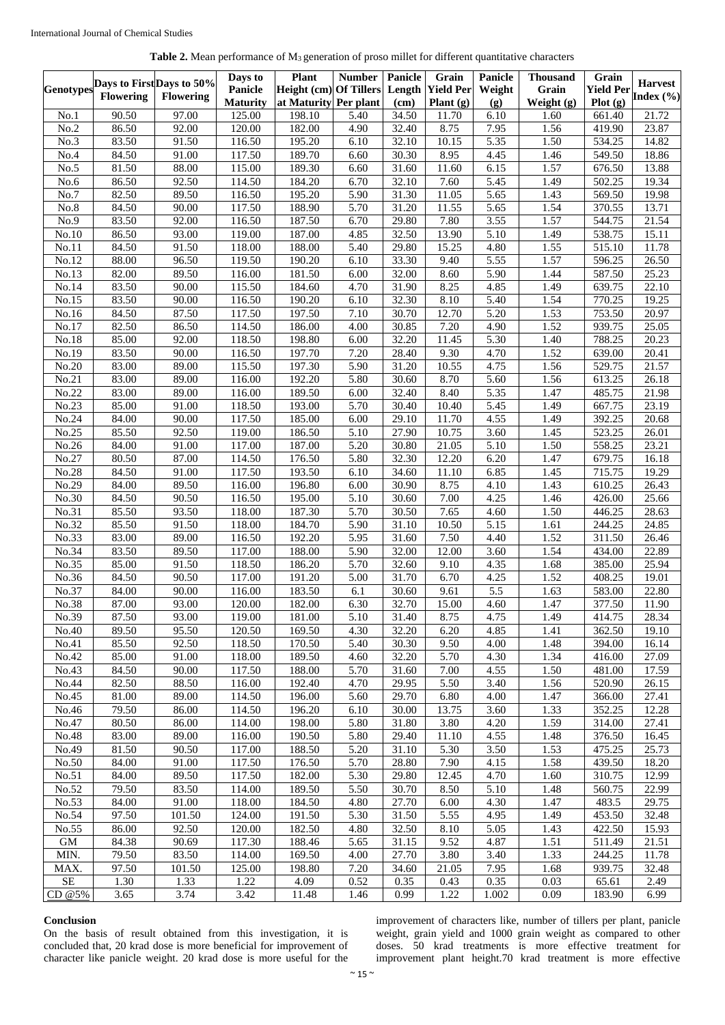|--|

| Height (cm) Of Tillers<br>Yield Per Index (%)<br>Flowering<br><b>Flowering</b><br>at Maturity Per plant<br>Plot(g)<br><b>Maturity</b><br>Plant $(g)$<br>$(\mathbf{g})$<br>Weight $(g)$<br>(cm)<br>90.50<br>97.00<br>6.10<br>21.72<br>125.00<br>198.10<br>5.40<br>34.50<br>1.60<br>661.40<br>No.1<br>11.70<br>86.50<br>92.00<br>120.00<br>182.00<br>4.90<br>32.40<br>8.75<br>7.95<br>1.56<br>23.87<br>No.2<br>419.90<br>83.50<br>116.50<br>195.20<br>10.15<br>5.35<br>1.50<br>No.3<br>91.50<br>6.10<br>32.10<br>534.25<br>14.82<br>84.50<br>117.50<br>189.70<br>6.60<br>30.30<br>8.95<br>4.45<br>18.86<br>91.00<br>1.46<br>549.50<br>No.4<br>81.50<br>115.00<br>189.30<br>6.15<br>1.57<br>No.5<br>88.00<br>6.60<br>31.60<br>11.60<br>676.50<br>13.88<br>86.50<br>92.50<br>114.50<br>6.70<br>7.60<br>5.45<br>1.49<br>19.34<br>No.6<br>184.20<br>32.10<br>502.25<br>82.50<br>5.65<br>89.50<br>195.20<br>5.90<br>31.30<br>11.05<br>1.43<br>569.50<br>19.98<br>No.7<br>116.50<br>84.50<br>117.50<br>188.90<br>5.70<br>31.20<br>5.65<br>1.54<br>13.71<br>No.8<br>90.00<br>11.55<br>370.55<br>83.50<br>116.50<br>29.80<br>7.80<br>3.55<br>1.57<br>21.54<br>No.9<br>92.00<br>187.50<br>6.70<br>544.75<br>5.10<br>15.11<br>No.10<br>86.50<br>93.00<br>119.00<br>187.00<br>4.85<br>32.50<br>13.90<br>1.49<br>538.75<br>1.55<br>84.50<br>118.00<br>188.00<br>5.40<br>29.80<br>15.25<br>4.80<br>515.10<br>11.78<br>No.11<br>91.50<br>88.00<br>119.50<br>9.40<br>5.55<br>1.57<br>26.50<br>No.12<br>96.50<br>190.20<br>6.10<br>33.30<br>596.25<br>82.00<br>89.50<br>116.00<br>181.50<br>8.60<br>5.90<br>25.23<br>No.13<br>6.00<br>32.00<br>1.44<br>587.50<br>83.50<br>8.25<br>4.85<br>90.00<br>115.50<br>184.60<br>4.70<br>31.90<br>1.49<br>639.75<br>22.10<br>No.14<br>83.50<br>90.00<br>116.50<br>190.20<br>6.10<br>32.30<br>8.10<br>5.40<br>1.54<br>19.25<br>No.15<br>770.25<br>$\overline{5.20}$<br>84.50<br>117.50<br>197.50<br>7.10<br>12.70<br>1.53<br>20.97<br>No.16<br>87.50<br>30.70<br>753.50<br>82.50<br>114.50<br>186.00<br>4.00<br>30.85<br>7.20<br>4.90<br>1.52<br>939.75<br>25.05<br>No.17<br>86.50<br>85.00<br>5.30<br>$\overline{92.00}$<br>118.50<br>198.80<br>6.00<br>32.20<br>$\overline{11.45}$<br>1.40<br>788.25<br>20.23<br>No.18<br>83.50<br>116.50<br>197.70<br>7.20<br>9.30<br>1.52<br>20.41<br>No.19<br>90.00<br>28.40<br>4.70<br>639.00<br>83.00<br>197.30<br>89.00<br>115.50<br>5.90<br>31.20<br>10.55<br>4.75<br>1.56<br>529.75<br>21.57<br>No.20<br>83.00<br>89.00<br>116.00<br>192.20<br>5.80<br>8.70<br>5.60<br>1.56<br>26.18<br>No.21<br>30.60<br>613.25<br>5.35<br>1.47<br>No.22<br>83.00<br>116.00<br>189.50<br>6.00<br>8.40<br>485.75<br>21.98<br>89.00<br>32.40<br>85.00<br>118.50<br>5.45<br>23.19<br>No.23<br>91.00<br>193.00<br>5.70<br>30.40<br>10.40<br>1.49<br>667.75<br>84.00<br>117.50<br>185.00<br>11.70<br>4.55<br>No.24<br>90.00<br>6.00<br>29.10<br>1.49<br>392.25<br>20.68<br>3.60<br>No.25<br>85.50<br>92.50<br>119.00<br>186.50<br>5.10<br>27.90<br>10.75<br>1.45<br>523.25<br>26.01<br>1.50<br>No.26<br>84.00<br>117.00<br>187.00<br>5.20<br>30.80<br>21.05<br>5.10<br>558.25<br>23.21<br>91.00<br>1.47<br>80.50<br>87.00<br>5.80<br>32.30<br>12.20<br>6.20<br>16.18<br>No.27<br>114.50<br>176.50<br>679.75<br>84.50<br>117.50<br>193.50<br>34.60<br>11.10<br>6.85<br>1.45<br>715.75<br>19.29<br>No.28<br>91.00<br>6.10<br>No.29<br>84.00<br>89.50<br>196.80<br>8.75<br>116.00<br>6.00<br>30.90<br>4.10<br>1.43<br>610.25<br>26.43<br>84.50<br>116.50<br>195.00<br>7.00<br>4.25<br>25.66<br>No.30<br>90.50<br>5.10<br>30.60<br>1.46<br>426.00<br>85.50<br>No.31<br>93.50<br>118.00<br>187.30<br>5.70<br>30.50<br>7.65<br>4.60<br>1.50<br>28.63<br>446.25<br>85.50<br>91.50<br>118.00<br>5.90<br>10.50<br>5.15<br>1.61<br>24.85<br>No.32<br>184.70<br>31.10<br>244.25<br>83.00<br>5.95<br>31.60<br>7.50<br>1.52<br>26.46<br>No.33<br>89.00<br>116.50<br>192.20<br>4.40<br>311.50<br>No.34<br>83.50<br>89.50<br>117.00<br>188.00<br>5.90<br>32.00<br>12.00<br>3.60<br>1.54<br>22.89<br>434.00<br>85.00<br>118.50<br>No.35<br>91.50<br>186.20<br>5.70<br>32.60<br>9.10<br>4.35<br>1.68<br>385.00<br>25.94<br>84.50<br>90.50<br>117.00<br>31.70<br>6.70<br>4.25<br>1.52<br>19.01<br>No.36<br>191.20<br>5.00<br>408.25<br>$\overline{5.5}$<br>No.37<br>84.00<br>183.50<br>9.61<br>1.63<br>22.80<br>90.00<br>116.00<br>6.1<br>30.60<br>583.00<br>87.00<br>93.00<br>182.00<br>6.30<br>32.70<br>15.00<br>4.60<br>1.47<br>377.50<br>No.38<br>120.00<br>11.90<br>No.39<br>87.50<br>93.00<br>119.00<br>181.00<br>5.10<br>31.40<br>8.75<br>4.75<br>1.49<br>414.75<br>28.34<br>89.50<br>95.50<br>120.50<br>32.20<br>6.20<br>4.85<br>No.40<br>169.50<br>4.30<br>1.41<br>362.50<br>19.10<br>85.50<br>92.50<br>118.50<br>170.50<br>4.00<br>1.48<br>No.41<br>5.40<br>30.30<br>9.50<br>394.00<br>16.14<br>85.00<br>118.00<br>189.50<br>1.34<br>No.42<br>91.00<br>4.60<br>32.20<br>5.70<br>4.30<br>416.00<br>27.09<br>84.50<br>188.00<br>5.70<br>7.00<br>4.55<br>1.50<br>17.59<br>No.43<br>90.00<br>117.50<br>31.60<br>481.00<br>No.44<br>82.50<br>88.50<br>116.00<br>192.40<br>4.70<br>29.95<br>5.50<br>3.40<br>1.56<br>520.90<br>26.15<br>81.00<br>196.00<br>No.45<br>89.00<br>114.50<br>5.60<br>29.70<br>6.80<br>4.00<br>1.47<br>366.00<br>27.41<br>79.50<br>86.00<br>114.50<br>196.20<br>13.75<br>$\overline{3.60}$<br>1.33<br>352.25<br>12.28<br>No.46<br>6.10<br>30.00<br>80.50<br>198.00<br>5.80<br>31.80<br>3.80<br>1.59<br>No.47<br>86.00<br>114.00<br>4.20<br>314.00<br>27.41<br>4.55<br>83.00<br>89.00<br>116.00<br>190.50<br>5.80<br>29.40<br>11.10<br>1.48<br>376.50<br>16.45<br>No.48<br>81.50<br>$\overline{90.50}$<br>117.00<br>188.50<br>5.20<br>5.30<br>1.53<br>475.25<br>25.73<br>No.49<br>31.10<br>3.50<br>No.50<br>84.00<br>91.00<br>117.50<br>5.70<br>7.90<br>1.58<br>176.50<br>28.80<br>4.15<br>439.50<br>18.20<br>84.00<br>89.50<br>117.50<br>182.00<br>5.30<br>29.80<br>12.45<br>4.70<br>1.60<br>310.75<br>12.99<br>No.51<br>No.52<br>79.50<br>83.50<br>114.00<br>189.50<br>5.50<br>30.70<br>8.50<br>5.10<br>1.48<br>560.75<br>22.99<br>27.70<br>1.47<br>No.53<br>84.00<br>91.00<br>118.00<br>184.50<br>4.80<br>6.00<br>4.30<br>483.5<br>29.75<br>97.50<br>5.55<br>No.54<br>$\overline{101.50}$<br>124.00<br>191.50<br>5.30<br>31.50<br>4.95<br>1.49<br>453.50<br>32.48<br>86.00<br>92.50<br>120.00<br>182.50<br>No.55<br>4.80<br>32.50<br>8.10<br>5.05<br>1.43<br>422.50<br>15.93<br>$\mbox{GM}$<br>117.30<br>188.46<br>9.52<br>4.87<br>1.51<br>84.38<br>90.69<br>5.65<br>31.15<br>511.49<br>21.51<br>MIN.<br>83.50<br>114.00<br>4.00<br>27.70<br>1.33<br>79.50<br>169.50<br>3.80<br>3.40<br>244.25<br>11.78<br>97.50<br>7.20<br>7.95<br>MAX.<br>101.50<br>125.00<br>198.80<br>34.60<br>21.05<br>1.68<br>939.75<br>32.48<br>$\rm SE$<br>1.30<br>1.33<br>1.22<br>4.09<br>0.52<br>0.43<br>0.35<br>0.03<br>2.49<br>0.35<br>65.61<br>3.65<br>3.74<br>3.42<br>0.99<br>1.22<br>1.002<br>0.09<br>6.99<br>CD@5%<br>11.48<br>1.46<br>183.90 |                  | Days to First Days to 50% | Days to | <b>Plant</b> | <b>Number</b> | Panicle | Grain            | <b>Panicle</b> | <b>Thousand</b> | Grain | <b>Harvest</b> |
|------------------------------------------------------------------------------------------------------------------------------------------------------------------------------------------------------------------------------------------------------------------------------------------------------------------------------------------------------------------------------------------------------------------------------------------------------------------------------------------------------------------------------------------------------------------------------------------------------------------------------------------------------------------------------------------------------------------------------------------------------------------------------------------------------------------------------------------------------------------------------------------------------------------------------------------------------------------------------------------------------------------------------------------------------------------------------------------------------------------------------------------------------------------------------------------------------------------------------------------------------------------------------------------------------------------------------------------------------------------------------------------------------------------------------------------------------------------------------------------------------------------------------------------------------------------------------------------------------------------------------------------------------------------------------------------------------------------------------------------------------------------------------------------------------------------------------------------------------------------------------------------------------------------------------------------------------------------------------------------------------------------------------------------------------------------------------------------------------------------------------------------------------------------------------------------------------------------------------------------------------------------------------------------------------------------------------------------------------------------------------------------------------------------------------------------------------------------------------------------------------------------------------------------------------------------------------------------------------------------------------------------------------------------------------------------------------------------------------------------------------------------------------------------------------------------------------------------------------------------------------------------------------------------------------------------------------------------------------------------------------------------------------------------------------------------------------------------------------------------------------------------------------------------------------------------------------------------------------------------------------------------------------------------------------------------------------------------------------------------------------------------------------------------------------------------------------------------------------------------------------------------------------------------------------------------------------------------------------------------------------------------------------------------------------------------------------------------------------------------------------------------------------------------------------------------------------------------------------------------------------------------------------------------------------------------------------------------------------------------------------------------------------------------------------------------------------------------------------------------------------------------------------------------------------------------------------------------------------------------------------------------------------------------------------------------------------------------------------------------------------------------------------------------------------------------------------------------------------------------------------------------------------------------------------------------------------------------------------------------------------------------------------------------------------------------------------------------------------------------------------------------------------------------------------------------------------------------------------------------------------------------------------------------------------------------------------------------------------------------------------------------------------------------------------------------------------------------------------------------------------------------------------------------------------------------------------------------------------------------------------------------------------------------------------------------------------------------------------------------------------------------------------------------------------------------------------------------------------------------------------------------------------------------------------------------------------------------------------------------------------------------------------------------------------------------------------------------------------------------------------------------------------------------------------------------------------------------------------------------------------------------------------------------------------------------------------------------------------------------------------------------------------------------------------------------------------------------------------------------------------------------------------------------------------------------------------------------------------------------------------------------------------------------------------------------------------------------------------------------------------------------------------------------------------------------------------------------------------------------------------------------------------------------------------------------------------------------------------------------------------------------------------------------------------------------------------------------------------------------------------------------------------------------------------------------------------------------------------------------------------------------------------------------------------------------------------------------------------------|------------------|---------------------------|---------|--------------|---------------|---------|------------------|----------------|-----------------|-------|----------------|
|                                                                                                                                                                                                                                                                                                                                                                                                                                                                                                                                                                                                                                                                                                                                                                                                                                                                                                                                                                                                                                                                                                                                                                                                                                                                                                                                                                                                                                                                                                                                                                                                                                                                                                                                                                                                                                                                                                                                                                                                                                                                                                                                                                                                                                                                                                                                                                                                                                                                                                                                                                                                                                                                                                                                                                                                                                                                                                                                                                                                                                                                                                                                                                                                                                                                                                                                                                                                                                                                                                                                                                                                                                                                                                                                                                                                                                                                                                                                                                                                                                                                                                                                                                                                                                                                                                                                                                                                                                                                                                                                                                                                                                                                                                                                                                                                                                                                                                                                                                                                                                                                                                                                                                                                                                                                                                                                                                                                                                                                                                                                                                                                                                                                                                                                                                                                                                                                                                                                                                                                                                                                                                                                                                                                                                                                                                                                                                                                                                                                                                                                                                                                                                                                                                                                                                                                                                                                                                                                                                                    | <b>Genotypes</b> |                           | Panicle |              |               | Length  | <b>Yield Per</b> | Weight         | Grain           |       |                |
|                                                                                                                                                                                                                                                                                                                                                                                                                                                                                                                                                                                                                                                                                                                                                                                                                                                                                                                                                                                                                                                                                                                                                                                                                                                                                                                                                                                                                                                                                                                                                                                                                                                                                                                                                                                                                                                                                                                                                                                                                                                                                                                                                                                                                                                                                                                                                                                                                                                                                                                                                                                                                                                                                                                                                                                                                                                                                                                                                                                                                                                                                                                                                                                                                                                                                                                                                                                                                                                                                                                                                                                                                                                                                                                                                                                                                                                                                                                                                                                                                                                                                                                                                                                                                                                                                                                                                                                                                                                                                                                                                                                                                                                                                                                                                                                                                                                                                                                                                                                                                                                                                                                                                                                                                                                                                                                                                                                                                                                                                                                                                                                                                                                                                                                                                                                                                                                                                                                                                                                                                                                                                                                                                                                                                                                                                                                                                                                                                                                                                                                                                                                                                                                                                                                                                                                                                                                                                                                                                                                    |                  |                           |         |              |               |         |                  |                |                 |       |                |
|                                                                                                                                                                                                                                                                                                                                                                                                                                                                                                                                                                                                                                                                                                                                                                                                                                                                                                                                                                                                                                                                                                                                                                                                                                                                                                                                                                                                                                                                                                                                                                                                                                                                                                                                                                                                                                                                                                                                                                                                                                                                                                                                                                                                                                                                                                                                                                                                                                                                                                                                                                                                                                                                                                                                                                                                                                                                                                                                                                                                                                                                                                                                                                                                                                                                                                                                                                                                                                                                                                                                                                                                                                                                                                                                                                                                                                                                                                                                                                                                                                                                                                                                                                                                                                                                                                                                                                                                                                                                                                                                                                                                                                                                                                                                                                                                                                                                                                                                                                                                                                                                                                                                                                                                                                                                                                                                                                                                                                                                                                                                                                                                                                                                                                                                                                                                                                                                                                                                                                                                                                                                                                                                                                                                                                                                                                                                                                                                                                                                                                                                                                                                                                                                                                                                                                                                                                                                                                                                                                                    |                  |                           |         |              |               |         |                  |                |                 |       |                |
|                                                                                                                                                                                                                                                                                                                                                                                                                                                                                                                                                                                                                                                                                                                                                                                                                                                                                                                                                                                                                                                                                                                                                                                                                                                                                                                                                                                                                                                                                                                                                                                                                                                                                                                                                                                                                                                                                                                                                                                                                                                                                                                                                                                                                                                                                                                                                                                                                                                                                                                                                                                                                                                                                                                                                                                                                                                                                                                                                                                                                                                                                                                                                                                                                                                                                                                                                                                                                                                                                                                                                                                                                                                                                                                                                                                                                                                                                                                                                                                                                                                                                                                                                                                                                                                                                                                                                                                                                                                                                                                                                                                                                                                                                                                                                                                                                                                                                                                                                                                                                                                                                                                                                                                                                                                                                                                                                                                                                                                                                                                                                                                                                                                                                                                                                                                                                                                                                                                                                                                                                                                                                                                                                                                                                                                                                                                                                                                                                                                                                                                                                                                                                                                                                                                                                                                                                                                                                                                                                                                    |                  |                           |         |              |               |         |                  |                |                 |       |                |
|                                                                                                                                                                                                                                                                                                                                                                                                                                                                                                                                                                                                                                                                                                                                                                                                                                                                                                                                                                                                                                                                                                                                                                                                                                                                                                                                                                                                                                                                                                                                                                                                                                                                                                                                                                                                                                                                                                                                                                                                                                                                                                                                                                                                                                                                                                                                                                                                                                                                                                                                                                                                                                                                                                                                                                                                                                                                                                                                                                                                                                                                                                                                                                                                                                                                                                                                                                                                                                                                                                                                                                                                                                                                                                                                                                                                                                                                                                                                                                                                                                                                                                                                                                                                                                                                                                                                                                                                                                                                                                                                                                                                                                                                                                                                                                                                                                                                                                                                                                                                                                                                                                                                                                                                                                                                                                                                                                                                                                                                                                                                                                                                                                                                                                                                                                                                                                                                                                                                                                                                                                                                                                                                                                                                                                                                                                                                                                                                                                                                                                                                                                                                                                                                                                                                                                                                                                                                                                                                                                                    |                  |                           |         |              |               |         |                  |                |                 |       |                |
|                                                                                                                                                                                                                                                                                                                                                                                                                                                                                                                                                                                                                                                                                                                                                                                                                                                                                                                                                                                                                                                                                                                                                                                                                                                                                                                                                                                                                                                                                                                                                                                                                                                                                                                                                                                                                                                                                                                                                                                                                                                                                                                                                                                                                                                                                                                                                                                                                                                                                                                                                                                                                                                                                                                                                                                                                                                                                                                                                                                                                                                                                                                                                                                                                                                                                                                                                                                                                                                                                                                                                                                                                                                                                                                                                                                                                                                                                                                                                                                                                                                                                                                                                                                                                                                                                                                                                                                                                                                                                                                                                                                                                                                                                                                                                                                                                                                                                                                                                                                                                                                                                                                                                                                                                                                                                                                                                                                                                                                                                                                                                                                                                                                                                                                                                                                                                                                                                                                                                                                                                                                                                                                                                                                                                                                                                                                                                                                                                                                                                                                                                                                                                                                                                                                                                                                                                                                                                                                                                                                    |                  |                           |         |              |               |         |                  |                |                 |       |                |
|                                                                                                                                                                                                                                                                                                                                                                                                                                                                                                                                                                                                                                                                                                                                                                                                                                                                                                                                                                                                                                                                                                                                                                                                                                                                                                                                                                                                                                                                                                                                                                                                                                                                                                                                                                                                                                                                                                                                                                                                                                                                                                                                                                                                                                                                                                                                                                                                                                                                                                                                                                                                                                                                                                                                                                                                                                                                                                                                                                                                                                                                                                                                                                                                                                                                                                                                                                                                                                                                                                                                                                                                                                                                                                                                                                                                                                                                                                                                                                                                                                                                                                                                                                                                                                                                                                                                                                                                                                                                                                                                                                                                                                                                                                                                                                                                                                                                                                                                                                                                                                                                                                                                                                                                                                                                                                                                                                                                                                                                                                                                                                                                                                                                                                                                                                                                                                                                                                                                                                                                                                                                                                                                                                                                                                                                                                                                                                                                                                                                                                                                                                                                                                                                                                                                                                                                                                                                                                                                                                                    |                  |                           |         |              |               |         |                  |                |                 |       |                |
|                                                                                                                                                                                                                                                                                                                                                                                                                                                                                                                                                                                                                                                                                                                                                                                                                                                                                                                                                                                                                                                                                                                                                                                                                                                                                                                                                                                                                                                                                                                                                                                                                                                                                                                                                                                                                                                                                                                                                                                                                                                                                                                                                                                                                                                                                                                                                                                                                                                                                                                                                                                                                                                                                                                                                                                                                                                                                                                                                                                                                                                                                                                                                                                                                                                                                                                                                                                                                                                                                                                                                                                                                                                                                                                                                                                                                                                                                                                                                                                                                                                                                                                                                                                                                                                                                                                                                                                                                                                                                                                                                                                                                                                                                                                                                                                                                                                                                                                                                                                                                                                                                                                                                                                                                                                                                                                                                                                                                                                                                                                                                                                                                                                                                                                                                                                                                                                                                                                                                                                                                                                                                                                                                                                                                                                                                                                                                                                                                                                                                                                                                                                                                                                                                                                                                                                                                                                                                                                                                                                    |                  |                           |         |              |               |         |                  |                |                 |       |                |
|                                                                                                                                                                                                                                                                                                                                                                                                                                                                                                                                                                                                                                                                                                                                                                                                                                                                                                                                                                                                                                                                                                                                                                                                                                                                                                                                                                                                                                                                                                                                                                                                                                                                                                                                                                                                                                                                                                                                                                                                                                                                                                                                                                                                                                                                                                                                                                                                                                                                                                                                                                                                                                                                                                                                                                                                                                                                                                                                                                                                                                                                                                                                                                                                                                                                                                                                                                                                                                                                                                                                                                                                                                                                                                                                                                                                                                                                                                                                                                                                                                                                                                                                                                                                                                                                                                                                                                                                                                                                                                                                                                                                                                                                                                                                                                                                                                                                                                                                                                                                                                                                                                                                                                                                                                                                                                                                                                                                                                                                                                                                                                                                                                                                                                                                                                                                                                                                                                                                                                                                                                                                                                                                                                                                                                                                                                                                                                                                                                                                                                                                                                                                                                                                                                                                                                                                                                                                                                                                                                                    |                  |                           |         |              |               |         |                  |                |                 |       |                |
|                                                                                                                                                                                                                                                                                                                                                                                                                                                                                                                                                                                                                                                                                                                                                                                                                                                                                                                                                                                                                                                                                                                                                                                                                                                                                                                                                                                                                                                                                                                                                                                                                                                                                                                                                                                                                                                                                                                                                                                                                                                                                                                                                                                                                                                                                                                                                                                                                                                                                                                                                                                                                                                                                                                                                                                                                                                                                                                                                                                                                                                                                                                                                                                                                                                                                                                                                                                                                                                                                                                                                                                                                                                                                                                                                                                                                                                                                                                                                                                                                                                                                                                                                                                                                                                                                                                                                                                                                                                                                                                                                                                                                                                                                                                                                                                                                                                                                                                                                                                                                                                                                                                                                                                                                                                                                                                                                                                                                                                                                                                                                                                                                                                                                                                                                                                                                                                                                                                                                                                                                                                                                                                                                                                                                                                                                                                                                                                                                                                                                                                                                                                                                                                                                                                                                                                                                                                                                                                                                                                    |                  |                           |         |              |               |         |                  |                |                 |       |                |
|                                                                                                                                                                                                                                                                                                                                                                                                                                                                                                                                                                                                                                                                                                                                                                                                                                                                                                                                                                                                                                                                                                                                                                                                                                                                                                                                                                                                                                                                                                                                                                                                                                                                                                                                                                                                                                                                                                                                                                                                                                                                                                                                                                                                                                                                                                                                                                                                                                                                                                                                                                                                                                                                                                                                                                                                                                                                                                                                                                                                                                                                                                                                                                                                                                                                                                                                                                                                                                                                                                                                                                                                                                                                                                                                                                                                                                                                                                                                                                                                                                                                                                                                                                                                                                                                                                                                                                                                                                                                                                                                                                                                                                                                                                                                                                                                                                                                                                                                                                                                                                                                                                                                                                                                                                                                                                                                                                                                                                                                                                                                                                                                                                                                                                                                                                                                                                                                                                                                                                                                                                                                                                                                                                                                                                                                                                                                                                                                                                                                                                                                                                                                                                                                                                                                                                                                                                                                                                                                                                                    |                  |                           |         |              |               |         |                  |                |                 |       |                |
|                                                                                                                                                                                                                                                                                                                                                                                                                                                                                                                                                                                                                                                                                                                                                                                                                                                                                                                                                                                                                                                                                                                                                                                                                                                                                                                                                                                                                                                                                                                                                                                                                                                                                                                                                                                                                                                                                                                                                                                                                                                                                                                                                                                                                                                                                                                                                                                                                                                                                                                                                                                                                                                                                                                                                                                                                                                                                                                                                                                                                                                                                                                                                                                                                                                                                                                                                                                                                                                                                                                                                                                                                                                                                                                                                                                                                                                                                                                                                                                                                                                                                                                                                                                                                                                                                                                                                                                                                                                                                                                                                                                                                                                                                                                                                                                                                                                                                                                                                                                                                                                                                                                                                                                                                                                                                                                                                                                                                                                                                                                                                                                                                                                                                                                                                                                                                                                                                                                                                                                                                                                                                                                                                                                                                                                                                                                                                                                                                                                                                                                                                                                                                                                                                                                                                                                                                                                                                                                                                                                    |                  |                           |         |              |               |         |                  |                |                 |       |                |
|                                                                                                                                                                                                                                                                                                                                                                                                                                                                                                                                                                                                                                                                                                                                                                                                                                                                                                                                                                                                                                                                                                                                                                                                                                                                                                                                                                                                                                                                                                                                                                                                                                                                                                                                                                                                                                                                                                                                                                                                                                                                                                                                                                                                                                                                                                                                                                                                                                                                                                                                                                                                                                                                                                                                                                                                                                                                                                                                                                                                                                                                                                                                                                                                                                                                                                                                                                                                                                                                                                                                                                                                                                                                                                                                                                                                                                                                                                                                                                                                                                                                                                                                                                                                                                                                                                                                                                                                                                                                                                                                                                                                                                                                                                                                                                                                                                                                                                                                                                                                                                                                                                                                                                                                                                                                                                                                                                                                                                                                                                                                                                                                                                                                                                                                                                                                                                                                                                                                                                                                                                                                                                                                                                                                                                                                                                                                                                                                                                                                                                                                                                                                                                                                                                                                                                                                                                                                                                                                                                                    |                  |                           |         |              |               |         |                  |                |                 |       |                |
|                                                                                                                                                                                                                                                                                                                                                                                                                                                                                                                                                                                                                                                                                                                                                                                                                                                                                                                                                                                                                                                                                                                                                                                                                                                                                                                                                                                                                                                                                                                                                                                                                                                                                                                                                                                                                                                                                                                                                                                                                                                                                                                                                                                                                                                                                                                                                                                                                                                                                                                                                                                                                                                                                                                                                                                                                                                                                                                                                                                                                                                                                                                                                                                                                                                                                                                                                                                                                                                                                                                                                                                                                                                                                                                                                                                                                                                                                                                                                                                                                                                                                                                                                                                                                                                                                                                                                                                                                                                                                                                                                                                                                                                                                                                                                                                                                                                                                                                                                                                                                                                                                                                                                                                                                                                                                                                                                                                                                                                                                                                                                                                                                                                                                                                                                                                                                                                                                                                                                                                                                                                                                                                                                                                                                                                                                                                                                                                                                                                                                                                                                                                                                                                                                                                                                                                                                                                                                                                                                                                    |                  |                           |         |              |               |         |                  |                |                 |       |                |
|                                                                                                                                                                                                                                                                                                                                                                                                                                                                                                                                                                                                                                                                                                                                                                                                                                                                                                                                                                                                                                                                                                                                                                                                                                                                                                                                                                                                                                                                                                                                                                                                                                                                                                                                                                                                                                                                                                                                                                                                                                                                                                                                                                                                                                                                                                                                                                                                                                                                                                                                                                                                                                                                                                                                                                                                                                                                                                                                                                                                                                                                                                                                                                                                                                                                                                                                                                                                                                                                                                                                                                                                                                                                                                                                                                                                                                                                                                                                                                                                                                                                                                                                                                                                                                                                                                                                                                                                                                                                                                                                                                                                                                                                                                                                                                                                                                                                                                                                                                                                                                                                                                                                                                                                                                                                                                                                                                                                                                                                                                                                                                                                                                                                                                                                                                                                                                                                                                                                                                                                                                                                                                                                                                                                                                                                                                                                                                                                                                                                                                                                                                                                                                                                                                                                                                                                                                                                                                                                                                                    |                  |                           |         |              |               |         |                  |                |                 |       |                |
|                                                                                                                                                                                                                                                                                                                                                                                                                                                                                                                                                                                                                                                                                                                                                                                                                                                                                                                                                                                                                                                                                                                                                                                                                                                                                                                                                                                                                                                                                                                                                                                                                                                                                                                                                                                                                                                                                                                                                                                                                                                                                                                                                                                                                                                                                                                                                                                                                                                                                                                                                                                                                                                                                                                                                                                                                                                                                                                                                                                                                                                                                                                                                                                                                                                                                                                                                                                                                                                                                                                                                                                                                                                                                                                                                                                                                                                                                                                                                                                                                                                                                                                                                                                                                                                                                                                                                                                                                                                                                                                                                                                                                                                                                                                                                                                                                                                                                                                                                                                                                                                                                                                                                                                                                                                                                                                                                                                                                                                                                                                                                                                                                                                                                                                                                                                                                                                                                                                                                                                                                                                                                                                                                                                                                                                                                                                                                                                                                                                                                                                                                                                                                                                                                                                                                                                                                                                                                                                                                                                    |                  |                           |         |              |               |         |                  |                |                 |       |                |
|                                                                                                                                                                                                                                                                                                                                                                                                                                                                                                                                                                                                                                                                                                                                                                                                                                                                                                                                                                                                                                                                                                                                                                                                                                                                                                                                                                                                                                                                                                                                                                                                                                                                                                                                                                                                                                                                                                                                                                                                                                                                                                                                                                                                                                                                                                                                                                                                                                                                                                                                                                                                                                                                                                                                                                                                                                                                                                                                                                                                                                                                                                                                                                                                                                                                                                                                                                                                                                                                                                                                                                                                                                                                                                                                                                                                                                                                                                                                                                                                                                                                                                                                                                                                                                                                                                                                                                                                                                                                                                                                                                                                                                                                                                                                                                                                                                                                                                                                                                                                                                                                                                                                                                                                                                                                                                                                                                                                                                                                                                                                                                                                                                                                                                                                                                                                                                                                                                                                                                                                                                                                                                                                                                                                                                                                                                                                                                                                                                                                                                                                                                                                                                                                                                                                                                                                                                                                                                                                                                                    |                  |                           |         |              |               |         |                  |                |                 |       |                |
|                                                                                                                                                                                                                                                                                                                                                                                                                                                                                                                                                                                                                                                                                                                                                                                                                                                                                                                                                                                                                                                                                                                                                                                                                                                                                                                                                                                                                                                                                                                                                                                                                                                                                                                                                                                                                                                                                                                                                                                                                                                                                                                                                                                                                                                                                                                                                                                                                                                                                                                                                                                                                                                                                                                                                                                                                                                                                                                                                                                                                                                                                                                                                                                                                                                                                                                                                                                                                                                                                                                                                                                                                                                                                                                                                                                                                                                                                                                                                                                                                                                                                                                                                                                                                                                                                                                                                                                                                                                                                                                                                                                                                                                                                                                                                                                                                                                                                                                                                                                                                                                                                                                                                                                                                                                                                                                                                                                                                                                                                                                                                                                                                                                                                                                                                                                                                                                                                                                                                                                                                                                                                                                                                                                                                                                                                                                                                                                                                                                                                                                                                                                                                                                                                                                                                                                                                                                                                                                                                                                    |                  |                           |         |              |               |         |                  |                |                 |       |                |
|                                                                                                                                                                                                                                                                                                                                                                                                                                                                                                                                                                                                                                                                                                                                                                                                                                                                                                                                                                                                                                                                                                                                                                                                                                                                                                                                                                                                                                                                                                                                                                                                                                                                                                                                                                                                                                                                                                                                                                                                                                                                                                                                                                                                                                                                                                                                                                                                                                                                                                                                                                                                                                                                                                                                                                                                                                                                                                                                                                                                                                                                                                                                                                                                                                                                                                                                                                                                                                                                                                                                                                                                                                                                                                                                                                                                                                                                                                                                                                                                                                                                                                                                                                                                                                                                                                                                                                                                                                                                                                                                                                                                                                                                                                                                                                                                                                                                                                                                                                                                                                                                                                                                                                                                                                                                                                                                                                                                                                                                                                                                                                                                                                                                                                                                                                                                                                                                                                                                                                                                                                                                                                                                                                                                                                                                                                                                                                                                                                                                                                                                                                                                                                                                                                                                                                                                                                                                                                                                                                                    |                  |                           |         |              |               |         |                  |                |                 |       |                |
|                                                                                                                                                                                                                                                                                                                                                                                                                                                                                                                                                                                                                                                                                                                                                                                                                                                                                                                                                                                                                                                                                                                                                                                                                                                                                                                                                                                                                                                                                                                                                                                                                                                                                                                                                                                                                                                                                                                                                                                                                                                                                                                                                                                                                                                                                                                                                                                                                                                                                                                                                                                                                                                                                                                                                                                                                                                                                                                                                                                                                                                                                                                                                                                                                                                                                                                                                                                                                                                                                                                                                                                                                                                                                                                                                                                                                                                                                                                                                                                                                                                                                                                                                                                                                                                                                                                                                                                                                                                                                                                                                                                                                                                                                                                                                                                                                                                                                                                                                                                                                                                                                                                                                                                                                                                                                                                                                                                                                                                                                                                                                                                                                                                                                                                                                                                                                                                                                                                                                                                                                                                                                                                                                                                                                                                                                                                                                                                                                                                                                                                                                                                                                                                                                                                                                                                                                                                                                                                                                                                    |                  |                           |         |              |               |         |                  |                |                 |       |                |
|                                                                                                                                                                                                                                                                                                                                                                                                                                                                                                                                                                                                                                                                                                                                                                                                                                                                                                                                                                                                                                                                                                                                                                                                                                                                                                                                                                                                                                                                                                                                                                                                                                                                                                                                                                                                                                                                                                                                                                                                                                                                                                                                                                                                                                                                                                                                                                                                                                                                                                                                                                                                                                                                                                                                                                                                                                                                                                                                                                                                                                                                                                                                                                                                                                                                                                                                                                                                                                                                                                                                                                                                                                                                                                                                                                                                                                                                                                                                                                                                                                                                                                                                                                                                                                                                                                                                                                                                                                                                                                                                                                                                                                                                                                                                                                                                                                                                                                                                                                                                                                                                                                                                                                                                                                                                                                                                                                                                                                                                                                                                                                                                                                                                                                                                                                                                                                                                                                                                                                                                                                                                                                                                                                                                                                                                                                                                                                                                                                                                                                                                                                                                                                                                                                                                                                                                                                                                                                                                                                                    |                  |                           |         |              |               |         |                  |                |                 |       |                |
|                                                                                                                                                                                                                                                                                                                                                                                                                                                                                                                                                                                                                                                                                                                                                                                                                                                                                                                                                                                                                                                                                                                                                                                                                                                                                                                                                                                                                                                                                                                                                                                                                                                                                                                                                                                                                                                                                                                                                                                                                                                                                                                                                                                                                                                                                                                                                                                                                                                                                                                                                                                                                                                                                                                                                                                                                                                                                                                                                                                                                                                                                                                                                                                                                                                                                                                                                                                                                                                                                                                                                                                                                                                                                                                                                                                                                                                                                                                                                                                                                                                                                                                                                                                                                                                                                                                                                                                                                                                                                                                                                                                                                                                                                                                                                                                                                                                                                                                                                                                                                                                                                                                                                                                                                                                                                                                                                                                                                                                                                                                                                                                                                                                                                                                                                                                                                                                                                                                                                                                                                                                                                                                                                                                                                                                                                                                                                                                                                                                                                                                                                                                                                                                                                                                                                                                                                                                                                                                                                                                    |                  |                           |         |              |               |         |                  |                |                 |       |                |
|                                                                                                                                                                                                                                                                                                                                                                                                                                                                                                                                                                                                                                                                                                                                                                                                                                                                                                                                                                                                                                                                                                                                                                                                                                                                                                                                                                                                                                                                                                                                                                                                                                                                                                                                                                                                                                                                                                                                                                                                                                                                                                                                                                                                                                                                                                                                                                                                                                                                                                                                                                                                                                                                                                                                                                                                                                                                                                                                                                                                                                                                                                                                                                                                                                                                                                                                                                                                                                                                                                                                                                                                                                                                                                                                                                                                                                                                                                                                                                                                                                                                                                                                                                                                                                                                                                                                                                                                                                                                                                                                                                                                                                                                                                                                                                                                                                                                                                                                                                                                                                                                                                                                                                                                                                                                                                                                                                                                                                                                                                                                                                                                                                                                                                                                                                                                                                                                                                                                                                                                                                                                                                                                                                                                                                                                                                                                                                                                                                                                                                                                                                                                                                                                                                                                                                                                                                                                                                                                                                                    |                  |                           |         |              |               |         |                  |                |                 |       |                |
|                                                                                                                                                                                                                                                                                                                                                                                                                                                                                                                                                                                                                                                                                                                                                                                                                                                                                                                                                                                                                                                                                                                                                                                                                                                                                                                                                                                                                                                                                                                                                                                                                                                                                                                                                                                                                                                                                                                                                                                                                                                                                                                                                                                                                                                                                                                                                                                                                                                                                                                                                                                                                                                                                                                                                                                                                                                                                                                                                                                                                                                                                                                                                                                                                                                                                                                                                                                                                                                                                                                                                                                                                                                                                                                                                                                                                                                                                                                                                                                                                                                                                                                                                                                                                                                                                                                                                                                                                                                                                                                                                                                                                                                                                                                                                                                                                                                                                                                                                                                                                                                                                                                                                                                                                                                                                                                                                                                                                                                                                                                                                                                                                                                                                                                                                                                                                                                                                                                                                                                                                                                                                                                                                                                                                                                                                                                                                                                                                                                                                                                                                                                                                                                                                                                                                                                                                                                                                                                                                                                    |                  |                           |         |              |               |         |                  |                |                 |       |                |
|                                                                                                                                                                                                                                                                                                                                                                                                                                                                                                                                                                                                                                                                                                                                                                                                                                                                                                                                                                                                                                                                                                                                                                                                                                                                                                                                                                                                                                                                                                                                                                                                                                                                                                                                                                                                                                                                                                                                                                                                                                                                                                                                                                                                                                                                                                                                                                                                                                                                                                                                                                                                                                                                                                                                                                                                                                                                                                                                                                                                                                                                                                                                                                                                                                                                                                                                                                                                                                                                                                                                                                                                                                                                                                                                                                                                                                                                                                                                                                                                                                                                                                                                                                                                                                                                                                                                                                                                                                                                                                                                                                                                                                                                                                                                                                                                                                                                                                                                                                                                                                                                                                                                                                                                                                                                                                                                                                                                                                                                                                                                                                                                                                                                                                                                                                                                                                                                                                                                                                                                                                                                                                                                                                                                                                                                                                                                                                                                                                                                                                                                                                                                                                                                                                                                                                                                                                                                                                                                                                                    |                  |                           |         |              |               |         |                  |                |                 |       |                |
|                                                                                                                                                                                                                                                                                                                                                                                                                                                                                                                                                                                                                                                                                                                                                                                                                                                                                                                                                                                                                                                                                                                                                                                                                                                                                                                                                                                                                                                                                                                                                                                                                                                                                                                                                                                                                                                                                                                                                                                                                                                                                                                                                                                                                                                                                                                                                                                                                                                                                                                                                                                                                                                                                                                                                                                                                                                                                                                                                                                                                                                                                                                                                                                                                                                                                                                                                                                                                                                                                                                                                                                                                                                                                                                                                                                                                                                                                                                                                                                                                                                                                                                                                                                                                                                                                                                                                                                                                                                                                                                                                                                                                                                                                                                                                                                                                                                                                                                                                                                                                                                                                                                                                                                                                                                                                                                                                                                                                                                                                                                                                                                                                                                                                                                                                                                                                                                                                                                                                                                                                                                                                                                                                                                                                                                                                                                                                                                                                                                                                                                                                                                                                                                                                                                                                                                                                                                                                                                                                                                    |                  |                           |         |              |               |         |                  |                |                 |       |                |
|                                                                                                                                                                                                                                                                                                                                                                                                                                                                                                                                                                                                                                                                                                                                                                                                                                                                                                                                                                                                                                                                                                                                                                                                                                                                                                                                                                                                                                                                                                                                                                                                                                                                                                                                                                                                                                                                                                                                                                                                                                                                                                                                                                                                                                                                                                                                                                                                                                                                                                                                                                                                                                                                                                                                                                                                                                                                                                                                                                                                                                                                                                                                                                                                                                                                                                                                                                                                                                                                                                                                                                                                                                                                                                                                                                                                                                                                                                                                                                                                                                                                                                                                                                                                                                                                                                                                                                                                                                                                                                                                                                                                                                                                                                                                                                                                                                                                                                                                                                                                                                                                                                                                                                                                                                                                                                                                                                                                                                                                                                                                                                                                                                                                                                                                                                                                                                                                                                                                                                                                                                                                                                                                                                                                                                                                                                                                                                                                                                                                                                                                                                                                                                                                                                                                                                                                                                                                                                                                                                                    |                  |                           |         |              |               |         |                  |                |                 |       |                |
|                                                                                                                                                                                                                                                                                                                                                                                                                                                                                                                                                                                                                                                                                                                                                                                                                                                                                                                                                                                                                                                                                                                                                                                                                                                                                                                                                                                                                                                                                                                                                                                                                                                                                                                                                                                                                                                                                                                                                                                                                                                                                                                                                                                                                                                                                                                                                                                                                                                                                                                                                                                                                                                                                                                                                                                                                                                                                                                                                                                                                                                                                                                                                                                                                                                                                                                                                                                                                                                                                                                                                                                                                                                                                                                                                                                                                                                                                                                                                                                                                                                                                                                                                                                                                                                                                                                                                                                                                                                                                                                                                                                                                                                                                                                                                                                                                                                                                                                                                                                                                                                                                                                                                                                                                                                                                                                                                                                                                                                                                                                                                                                                                                                                                                                                                                                                                                                                                                                                                                                                                                                                                                                                                                                                                                                                                                                                                                                                                                                                                                                                                                                                                                                                                                                                                                                                                                                                                                                                                                                    |                  |                           |         |              |               |         |                  |                |                 |       |                |
|                                                                                                                                                                                                                                                                                                                                                                                                                                                                                                                                                                                                                                                                                                                                                                                                                                                                                                                                                                                                                                                                                                                                                                                                                                                                                                                                                                                                                                                                                                                                                                                                                                                                                                                                                                                                                                                                                                                                                                                                                                                                                                                                                                                                                                                                                                                                                                                                                                                                                                                                                                                                                                                                                                                                                                                                                                                                                                                                                                                                                                                                                                                                                                                                                                                                                                                                                                                                                                                                                                                                                                                                                                                                                                                                                                                                                                                                                                                                                                                                                                                                                                                                                                                                                                                                                                                                                                                                                                                                                                                                                                                                                                                                                                                                                                                                                                                                                                                                                                                                                                                                                                                                                                                                                                                                                                                                                                                                                                                                                                                                                                                                                                                                                                                                                                                                                                                                                                                                                                                                                                                                                                                                                                                                                                                                                                                                                                                                                                                                                                                                                                                                                                                                                                                                                                                                                                                                                                                                                                                    |                  |                           |         |              |               |         |                  |                |                 |       |                |
|                                                                                                                                                                                                                                                                                                                                                                                                                                                                                                                                                                                                                                                                                                                                                                                                                                                                                                                                                                                                                                                                                                                                                                                                                                                                                                                                                                                                                                                                                                                                                                                                                                                                                                                                                                                                                                                                                                                                                                                                                                                                                                                                                                                                                                                                                                                                                                                                                                                                                                                                                                                                                                                                                                                                                                                                                                                                                                                                                                                                                                                                                                                                                                                                                                                                                                                                                                                                                                                                                                                                                                                                                                                                                                                                                                                                                                                                                                                                                                                                                                                                                                                                                                                                                                                                                                                                                                                                                                                                                                                                                                                                                                                                                                                                                                                                                                                                                                                                                                                                                                                                                                                                                                                                                                                                                                                                                                                                                                                                                                                                                                                                                                                                                                                                                                                                                                                                                                                                                                                                                                                                                                                                                                                                                                                                                                                                                                                                                                                                                                                                                                                                                                                                                                                                                                                                                                                                                                                                                                                    |                  |                           |         |              |               |         |                  |                |                 |       |                |
|                                                                                                                                                                                                                                                                                                                                                                                                                                                                                                                                                                                                                                                                                                                                                                                                                                                                                                                                                                                                                                                                                                                                                                                                                                                                                                                                                                                                                                                                                                                                                                                                                                                                                                                                                                                                                                                                                                                                                                                                                                                                                                                                                                                                                                                                                                                                                                                                                                                                                                                                                                                                                                                                                                                                                                                                                                                                                                                                                                                                                                                                                                                                                                                                                                                                                                                                                                                                                                                                                                                                                                                                                                                                                                                                                                                                                                                                                                                                                                                                                                                                                                                                                                                                                                                                                                                                                                                                                                                                                                                                                                                                                                                                                                                                                                                                                                                                                                                                                                                                                                                                                                                                                                                                                                                                                                                                                                                                                                                                                                                                                                                                                                                                                                                                                                                                                                                                                                                                                                                                                                                                                                                                                                                                                                                                                                                                                                                                                                                                                                                                                                                                                                                                                                                                                                                                                                                                                                                                                                                    |                  |                           |         |              |               |         |                  |                |                 |       |                |
|                                                                                                                                                                                                                                                                                                                                                                                                                                                                                                                                                                                                                                                                                                                                                                                                                                                                                                                                                                                                                                                                                                                                                                                                                                                                                                                                                                                                                                                                                                                                                                                                                                                                                                                                                                                                                                                                                                                                                                                                                                                                                                                                                                                                                                                                                                                                                                                                                                                                                                                                                                                                                                                                                                                                                                                                                                                                                                                                                                                                                                                                                                                                                                                                                                                                                                                                                                                                                                                                                                                                                                                                                                                                                                                                                                                                                                                                                                                                                                                                                                                                                                                                                                                                                                                                                                                                                                                                                                                                                                                                                                                                                                                                                                                                                                                                                                                                                                                                                                                                                                                                                                                                                                                                                                                                                                                                                                                                                                                                                                                                                                                                                                                                                                                                                                                                                                                                                                                                                                                                                                                                                                                                                                                                                                                                                                                                                                                                                                                                                                                                                                                                                                                                                                                                                                                                                                                                                                                                                                                    |                  |                           |         |              |               |         |                  |                |                 |       |                |
|                                                                                                                                                                                                                                                                                                                                                                                                                                                                                                                                                                                                                                                                                                                                                                                                                                                                                                                                                                                                                                                                                                                                                                                                                                                                                                                                                                                                                                                                                                                                                                                                                                                                                                                                                                                                                                                                                                                                                                                                                                                                                                                                                                                                                                                                                                                                                                                                                                                                                                                                                                                                                                                                                                                                                                                                                                                                                                                                                                                                                                                                                                                                                                                                                                                                                                                                                                                                                                                                                                                                                                                                                                                                                                                                                                                                                                                                                                                                                                                                                                                                                                                                                                                                                                                                                                                                                                                                                                                                                                                                                                                                                                                                                                                                                                                                                                                                                                                                                                                                                                                                                                                                                                                                                                                                                                                                                                                                                                                                                                                                                                                                                                                                                                                                                                                                                                                                                                                                                                                                                                                                                                                                                                                                                                                                                                                                                                                                                                                                                                                                                                                                                                                                                                                                                                                                                                                                                                                                                                                    |                  |                           |         |              |               |         |                  |                |                 |       |                |
|                                                                                                                                                                                                                                                                                                                                                                                                                                                                                                                                                                                                                                                                                                                                                                                                                                                                                                                                                                                                                                                                                                                                                                                                                                                                                                                                                                                                                                                                                                                                                                                                                                                                                                                                                                                                                                                                                                                                                                                                                                                                                                                                                                                                                                                                                                                                                                                                                                                                                                                                                                                                                                                                                                                                                                                                                                                                                                                                                                                                                                                                                                                                                                                                                                                                                                                                                                                                                                                                                                                                                                                                                                                                                                                                                                                                                                                                                                                                                                                                                                                                                                                                                                                                                                                                                                                                                                                                                                                                                                                                                                                                                                                                                                                                                                                                                                                                                                                                                                                                                                                                                                                                                                                                                                                                                                                                                                                                                                                                                                                                                                                                                                                                                                                                                                                                                                                                                                                                                                                                                                                                                                                                                                                                                                                                                                                                                                                                                                                                                                                                                                                                                                                                                                                                                                                                                                                                                                                                                                                    |                  |                           |         |              |               |         |                  |                |                 |       |                |
|                                                                                                                                                                                                                                                                                                                                                                                                                                                                                                                                                                                                                                                                                                                                                                                                                                                                                                                                                                                                                                                                                                                                                                                                                                                                                                                                                                                                                                                                                                                                                                                                                                                                                                                                                                                                                                                                                                                                                                                                                                                                                                                                                                                                                                                                                                                                                                                                                                                                                                                                                                                                                                                                                                                                                                                                                                                                                                                                                                                                                                                                                                                                                                                                                                                                                                                                                                                                                                                                                                                                                                                                                                                                                                                                                                                                                                                                                                                                                                                                                                                                                                                                                                                                                                                                                                                                                                                                                                                                                                                                                                                                                                                                                                                                                                                                                                                                                                                                                                                                                                                                                                                                                                                                                                                                                                                                                                                                                                                                                                                                                                                                                                                                                                                                                                                                                                                                                                                                                                                                                                                                                                                                                                                                                                                                                                                                                                                                                                                                                                                                                                                                                                                                                                                                                                                                                                                                                                                                                                                    |                  |                           |         |              |               |         |                  |                |                 |       |                |
|                                                                                                                                                                                                                                                                                                                                                                                                                                                                                                                                                                                                                                                                                                                                                                                                                                                                                                                                                                                                                                                                                                                                                                                                                                                                                                                                                                                                                                                                                                                                                                                                                                                                                                                                                                                                                                                                                                                                                                                                                                                                                                                                                                                                                                                                                                                                                                                                                                                                                                                                                                                                                                                                                                                                                                                                                                                                                                                                                                                                                                                                                                                                                                                                                                                                                                                                                                                                                                                                                                                                                                                                                                                                                                                                                                                                                                                                                                                                                                                                                                                                                                                                                                                                                                                                                                                                                                                                                                                                                                                                                                                                                                                                                                                                                                                                                                                                                                                                                                                                                                                                                                                                                                                                                                                                                                                                                                                                                                                                                                                                                                                                                                                                                                                                                                                                                                                                                                                                                                                                                                                                                                                                                                                                                                                                                                                                                                                                                                                                                                                                                                                                                                                                                                                                                                                                                                                                                                                                                                                    |                  |                           |         |              |               |         |                  |                |                 |       |                |
|                                                                                                                                                                                                                                                                                                                                                                                                                                                                                                                                                                                                                                                                                                                                                                                                                                                                                                                                                                                                                                                                                                                                                                                                                                                                                                                                                                                                                                                                                                                                                                                                                                                                                                                                                                                                                                                                                                                                                                                                                                                                                                                                                                                                                                                                                                                                                                                                                                                                                                                                                                                                                                                                                                                                                                                                                                                                                                                                                                                                                                                                                                                                                                                                                                                                                                                                                                                                                                                                                                                                                                                                                                                                                                                                                                                                                                                                                                                                                                                                                                                                                                                                                                                                                                                                                                                                                                                                                                                                                                                                                                                                                                                                                                                                                                                                                                                                                                                                                                                                                                                                                                                                                                                                                                                                                                                                                                                                                                                                                                                                                                                                                                                                                                                                                                                                                                                                                                                                                                                                                                                                                                                                                                                                                                                                                                                                                                                                                                                                                                                                                                                                                                                                                                                                                                                                                                                                                                                                                                                    |                  |                           |         |              |               |         |                  |                |                 |       |                |
|                                                                                                                                                                                                                                                                                                                                                                                                                                                                                                                                                                                                                                                                                                                                                                                                                                                                                                                                                                                                                                                                                                                                                                                                                                                                                                                                                                                                                                                                                                                                                                                                                                                                                                                                                                                                                                                                                                                                                                                                                                                                                                                                                                                                                                                                                                                                                                                                                                                                                                                                                                                                                                                                                                                                                                                                                                                                                                                                                                                                                                                                                                                                                                                                                                                                                                                                                                                                                                                                                                                                                                                                                                                                                                                                                                                                                                                                                                                                                                                                                                                                                                                                                                                                                                                                                                                                                                                                                                                                                                                                                                                                                                                                                                                                                                                                                                                                                                                                                                                                                                                                                                                                                                                                                                                                                                                                                                                                                                                                                                                                                                                                                                                                                                                                                                                                                                                                                                                                                                                                                                                                                                                                                                                                                                                                                                                                                                                                                                                                                                                                                                                                                                                                                                                                                                                                                                                                                                                                                                                    |                  |                           |         |              |               |         |                  |                |                 |       |                |
|                                                                                                                                                                                                                                                                                                                                                                                                                                                                                                                                                                                                                                                                                                                                                                                                                                                                                                                                                                                                                                                                                                                                                                                                                                                                                                                                                                                                                                                                                                                                                                                                                                                                                                                                                                                                                                                                                                                                                                                                                                                                                                                                                                                                                                                                                                                                                                                                                                                                                                                                                                                                                                                                                                                                                                                                                                                                                                                                                                                                                                                                                                                                                                                                                                                                                                                                                                                                                                                                                                                                                                                                                                                                                                                                                                                                                                                                                                                                                                                                                                                                                                                                                                                                                                                                                                                                                                                                                                                                                                                                                                                                                                                                                                                                                                                                                                                                                                                                                                                                                                                                                                                                                                                                                                                                                                                                                                                                                                                                                                                                                                                                                                                                                                                                                                                                                                                                                                                                                                                                                                                                                                                                                                                                                                                                                                                                                                                                                                                                                                                                                                                                                                                                                                                                                                                                                                                                                                                                                                                    |                  |                           |         |              |               |         |                  |                |                 |       |                |
|                                                                                                                                                                                                                                                                                                                                                                                                                                                                                                                                                                                                                                                                                                                                                                                                                                                                                                                                                                                                                                                                                                                                                                                                                                                                                                                                                                                                                                                                                                                                                                                                                                                                                                                                                                                                                                                                                                                                                                                                                                                                                                                                                                                                                                                                                                                                                                                                                                                                                                                                                                                                                                                                                                                                                                                                                                                                                                                                                                                                                                                                                                                                                                                                                                                                                                                                                                                                                                                                                                                                                                                                                                                                                                                                                                                                                                                                                                                                                                                                                                                                                                                                                                                                                                                                                                                                                                                                                                                                                                                                                                                                                                                                                                                                                                                                                                                                                                                                                                                                                                                                                                                                                                                                                                                                                                                                                                                                                                                                                                                                                                                                                                                                                                                                                                                                                                                                                                                                                                                                                                                                                                                                                                                                                                                                                                                                                                                                                                                                                                                                                                                                                                                                                                                                                                                                                                                                                                                                                                                    |                  |                           |         |              |               |         |                  |                |                 |       |                |
|                                                                                                                                                                                                                                                                                                                                                                                                                                                                                                                                                                                                                                                                                                                                                                                                                                                                                                                                                                                                                                                                                                                                                                                                                                                                                                                                                                                                                                                                                                                                                                                                                                                                                                                                                                                                                                                                                                                                                                                                                                                                                                                                                                                                                                                                                                                                                                                                                                                                                                                                                                                                                                                                                                                                                                                                                                                                                                                                                                                                                                                                                                                                                                                                                                                                                                                                                                                                                                                                                                                                                                                                                                                                                                                                                                                                                                                                                                                                                                                                                                                                                                                                                                                                                                                                                                                                                                                                                                                                                                                                                                                                                                                                                                                                                                                                                                                                                                                                                                                                                                                                                                                                                                                                                                                                                                                                                                                                                                                                                                                                                                                                                                                                                                                                                                                                                                                                                                                                                                                                                                                                                                                                                                                                                                                                                                                                                                                                                                                                                                                                                                                                                                                                                                                                                                                                                                                                                                                                                                                    |                  |                           |         |              |               |         |                  |                |                 |       |                |
|                                                                                                                                                                                                                                                                                                                                                                                                                                                                                                                                                                                                                                                                                                                                                                                                                                                                                                                                                                                                                                                                                                                                                                                                                                                                                                                                                                                                                                                                                                                                                                                                                                                                                                                                                                                                                                                                                                                                                                                                                                                                                                                                                                                                                                                                                                                                                                                                                                                                                                                                                                                                                                                                                                                                                                                                                                                                                                                                                                                                                                                                                                                                                                                                                                                                                                                                                                                                                                                                                                                                                                                                                                                                                                                                                                                                                                                                                                                                                                                                                                                                                                                                                                                                                                                                                                                                                                                                                                                                                                                                                                                                                                                                                                                                                                                                                                                                                                                                                                                                                                                                                                                                                                                                                                                                                                                                                                                                                                                                                                                                                                                                                                                                                                                                                                                                                                                                                                                                                                                                                                                                                                                                                                                                                                                                                                                                                                                                                                                                                                                                                                                                                                                                                                                                                                                                                                                                                                                                                                                    |                  |                           |         |              |               |         |                  |                |                 |       |                |
|                                                                                                                                                                                                                                                                                                                                                                                                                                                                                                                                                                                                                                                                                                                                                                                                                                                                                                                                                                                                                                                                                                                                                                                                                                                                                                                                                                                                                                                                                                                                                                                                                                                                                                                                                                                                                                                                                                                                                                                                                                                                                                                                                                                                                                                                                                                                                                                                                                                                                                                                                                                                                                                                                                                                                                                                                                                                                                                                                                                                                                                                                                                                                                                                                                                                                                                                                                                                                                                                                                                                                                                                                                                                                                                                                                                                                                                                                                                                                                                                                                                                                                                                                                                                                                                                                                                                                                                                                                                                                                                                                                                                                                                                                                                                                                                                                                                                                                                                                                                                                                                                                                                                                                                                                                                                                                                                                                                                                                                                                                                                                                                                                                                                                                                                                                                                                                                                                                                                                                                                                                                                                                                                                                                                                                                                                                                                                                                                                                                                                                                                                                                                                                                                                                                                                                                                                                                                                                                                                                                    |                  |                           |         |              |               |         |                  |                |                 |       |                |
|                                                                                                                                                                                                                                                                                                                                                                                                                                                                                                                                                                                                                                                                                                                                                                                                                                                                                                                                                                                                                                                                                                                                                                                                                                                                                                                                                                                                                                                                                                                                                                                                                                                                                                                                                                                                                                                                                                                                                                                                                                                                                                                                                                                                                                                                                                                                                                                                                                                                                                                                                                                                                                                                                                                                                                                                                                                                                                                                                                                                                                                                                                                                                                                                                                                                                                                                                                                                                                                                                                                                                                                                                                                                                                                                                                                                                                                                                                                                                                                                                                                                                                                                                                                                                                                                                                                                                                                                                                                                                                                                                                                                                                                                                                                                                                                                                                                                                                                                                                                                                                                                                                                                                                                                                                                                                                                                                                                                                                                                                                                                                                                                                                                                                                                                                                                                                                                                                                                                                                                                                                                                                                                                                                                                                                                                                                                                                                                                                                                                                                                                                                                                                                                                                                                                                                                                                                                                                                                                                                                    |                  |                           |         |              |               |         |                  |                |                 |       |                |
|                                                                                                                                                                                                                                                                                                                                                                                                                                                                                                                                                                                                                                                                                                                                                                                                                                                                                                                                                                                                                                                                                                                                                                                                                                                                                                                                                                                                                                                                                                                                                                                                                                                                                                                                                                                                                                                                                                                                                                                                                                                                                                                                                                                                                                                                                                                                                                                                                                                                                                                                                                                                                                                                                                                                                                                                                                                                                                                                                                                                                                                                                                                                                                                                                                                                                                                                                                                                                                                                                                                                                                                                                                                                                                                                                                                                                                                                                                                                                                                                                                                                                                                                                                                                                                                                                                                                                                                                                                                                                                                                                                                                                                                                                                                                                                                                                                                                                                                                                                                                                                                                                                                                                                                                                                                                                                                                                                                                                                                                                                                                                                                                                                                                                                                                                                                                                                                                                                                                                                                                                                                                                                                                                                                                                                                                                                                                                                                                                                                                                                                                                                                                                                                                                                                                                                                                                                                                                                                                                                                    |                  |                           |         |              |               |         |                  |                |                 |       |                |
|                                                                                                                                                                                                                                                                                                                                                                                                                                                                                                                                                                                                                                                                                                                                                                                                                                                                                                                                                                                                                                                                                                                                                                                                                                                                                                                                                                                                                                                                                                                                                                                                                                                                                                                                                                                                                                                                                                                                                                                                                                                                                                                                                                                                                                                                                                                                                                                                                                                                                                                                                                                                                                                                                                                                                                                                                                                                                                                                                                                                                                                                                                                                                                                                                                                                                                                                                                                                                                                                                                                                                                                                                                                                                                                                                                                                                                                                                                                                                                                                                                                                                                                                                                                                                                                                                                                                                                                                                                                                                                                                                                                                                                                                                                                                                                                                                                                                                                                                                                                                                                                                                                                                                                                                                                                                                                                                                                                                                                                                                                                                                                                                                                                                                                                                                                                                                                                                                                                                                                                                                                                                                                                                                                                                                                                                                                                                                                                                                                                                                                                                                                                                                                                                                                                                                                                                                                                                                                                                                                                    |                  |                           |         |              |               |         |                  |                |                 |       |                |
|                                                                                                                                                                                                                                                                                                                                                                                                                                                                                                                                                                                                                                                                                                                                                                                                                                                                                                                                                                                                                                                                                                                                                                                                                                                                                                                                                                                                                                                                                                                                                                                                                                                                                                                                                                                                                                                                                                                                                                                                                                                                                                                                                                                                                                                                                                                                                                                                                                                                                                                                                                                                                                                                                                                                                                                                                                                                                                                                                                                                                                                                                                                                                                                                                                                                                                                                                                                                                                                                                                                                                                                                                                                                                                                                                                                                                                                                                                                                                                                                                                                                                                                                                                                                                                                                                                                                                                                                                                                                                                                                                                                                                                                                                                                                                                                                                                                                                                                                                                                                                                                                                                                                                                                                                                                                                                                                                                                                                                                                                                                                                                                                                                                                                                                                                                                                                                                                                                                                                                                                                                                                                                                                                                                                                                                                                                                                                                                                                                                                                                                                                                                                                                                                                                                                                                                                                                                                                                                                                                                    |                  |                           |         |              |               |         |                  |                |                 |       |                |
|                                                                                                                                                                                                                                                                                                                                                                                                                                                                                                                                                                                                                                                                                                                                                                                                                                                                                                                                                                                                                                                                                                                                                                                                                                                                                                                                                                                                                                                                                                                                                                                                                                                                                                                                                                                                                                                                                                                                                                                                                                                                                                                                                                                                                                                                                                                                                                                                                                                                                                                                                                                                                                                                                                                                                                                                                                                                                                                                                                                                                                                                                                                                                                                                                                                                                                                                                                                                                                                                                                                                                                                                                                                                                                                                                                                                                                                                                                                                                                                                                                                                                                                                                                                                                                                                                                                                                                                                                                                                                                                                                                                                                                                                                                                                                                                                                                                                                                                                                                                                                                                                                                                                                                                                                                                                                                                                                                                                                                                                                                                                                                                                                                                                                                                                                                                                                                                                                                                                                                                                                                                                                                                                                                                                                                                                                                                                                                                                                                                                                                                                                                                                                                                                                                                                                                                                                                                                                                                                                                                    |                  |                           |         |              |               |         |                  |                |                 |       |                |
|                                                                                                                                                                                                                                                                                                                                                                                                                                                                                                                                                                                                                                                                                                                                                                                                                                                                                                                                                                                                                                                                                                                                                                                                                                                                                                                                                                                                                                                                                                                                                                                                                                                                                                                                                                                                                                                                                                                                                                                                                                                                                                                                                                                                                                                                                                                                                                                                                                                                                                                                                                                                                                                                                                                                                                                                                                                                                                                                                                                                                                                                                                                                                                                                                                                                                                                                                                                                                                                                                                                                                                                                                                                                                                                                                                                                                                                                                                                                                                                                                                                                                                                                                                                                                                                                                                                                                                                                                                                                                                                                                                                                                                                                                                                                                                                                                                                                                                                                                                                                                                                                                                                                                                                                                                                                                                                                                                                                                                                                                                                                                                                                                                                                                                                                                                                                                                                                                                                                                                                                                                                                                                                                                                                                                                                                                                                                                                                                                                                                                                                                                                                                                                                                                                                                                                                                                                                                                                                                                                                    |                  |                           |         |              |               |         |                  |                |                 |       |                |
|                                                                                                                                                                                                                                                                                                                                                                                                                                                                                                                                                                                                                                                                                                                                                                                                                                                                                                                                                                                                                                                                                                                                                                                                                                                                                                                                                                                                                                                                                                                                                                                                                                                                                                                                                                                                                                                                                                                                                                                                                                                                                                                                                                                                                                                                                                                                                                                                                                                                                                                                                                                                                                                                                                                                                                                                                                                                                                                                                                                                                                                                                                                                                                                                                                                                                                                                                                                                                                                                                                                                                                                                                                                                                                                                                                                                                                                                                                                                                                                                                                                                                                                                                                                                                                                                                                                                                                                                                                                                                                                                                                                                                                                                                                                                                                                                                                                                                                                                                                                                                                                                                                                                                                                                                                                                                                                                                                                                                                                                                                                                                                                                                                                                                                                                                                                                                                                                                                                                                                                                                                                                                                                                                                                                                                                                                                                                                                                                                                                                                                                                                                                                                                                                                                                                                                                                                                                                                                                                                                                    |                  |                           |         |              |               |         |                  |                |                 |       |                |
|                                                                                                                                                                                                                                                                                                                                                                                                                                                                                                                                                                                                                                                                                                                                                                                                                                                                                                                                                                                                                                                                                                                                                                                                                                                                                                                                                                                                                                                                                                                                                                                                                                                                                                                                                                                                                                                                                                                                                                                                                                                                                                                                                                                                                                                                                                                                                                                                                                                                                                                                                                                                                                                                                                                                                                                                                                                                                                                                                                                                                                                                                                                                                                                                                                                                                                                                                                                                                                                                                                                                                                                                                                                                                                                                                                                                                                                                                                                                                                                                                                                                                                                                                                                                                                                                                                                                                                                                                                                                                                                                                                                                                                                                                                                                                                                                                                                                                                                                                                                                                                                                                                                                                                                                                                                                                                                                                                                                                                                                                                                                                                                                                                                                                                                                                                                                                                                                                                                                                                                                                                                                                                                                                                                                                                                                                                                                                                                                                                                                                                                                                                                                                                                                                                                                                                                                                                                                                                                                                                                    |                  |                           |         |              |               |         |                  |                |                 |       |                |
|                                                                                                                                                                                                                                                                                                                                                                                                                                                                                                                                                                                                                                                                                                                                                                                                                                                                                                                                                                                                                                                                                                                                                                                                                                                                                                                                                                                                                                                                                                                                                                                                                                                                                                                                                                                                                                                                                                                                                                                                                                                                                                                                                                                                                                                                                                                                                                                                                                                                                                                                                                                                                                                                                                                                                                                                                                                                                                                                                                                                                                                                                                                                                                                                                                                                                                                                                                                                                                                                                                                                                                                                                                                                                                                                                                                                                                                                                                                                                                                                                                                                                                                                                                                                                                                                                                                                                                                                                                                                                                                                                                                                                                                                                                                                                                                                                                                                                                                                                                                                                                                                                                                                                                                                                                                                                                                                                                                                                                                                                                                                                                                                                                                                                                                                                                                                                                                                                                                                                                                                                                                                                                                                                                                                                                                                                                                                                                                                                                                                                                                                                                                                                                                                                                                                                                                                                                                                                                                                                                                    |                  |                           |         |              |               |         |                  |                |                 |       |                |
|                                                                                                                                                                                                                                                                                                                                                                                                                                                                                                                                                                                                                                                                                                                                                                                                                                                                                                                                                                                                                                                                                                                                                                                                                                                                                                                                                                                                                                                                                                                                                                                                                                                                                                                                                                                                                                                                                                                                                                                                                                                                                                                                                                                                                                                                                                                                                                                                                                                                                                                                                                                                                                                                                                                                                                                                                                                                                                                                                                                                                                                                                                                                                                                                                                                                                                                                                                                                                                                                                                                                                                                                                                                                                                                                                                                                                                                                                                                                                                                                                                                                                                                                                                                                                                                                                                                                                                                                                                                                                                                                                                                                                                                                                                                                                                                                                                                                                                                                                                                                                                                                                                                                                                                                                                                                                                                                                                                                                                                                                                                                                                                                                                                                                                                                                                                                                                                                                                                                                                                                                                                                                                                                                                                                                                                                                                                                                                                                                                                                                                                                                                                                                                                                                                                                                                                                                                                                                                                                                                                    |                  |                           |         |              |               |         |                  |                |                 |       |                |
|                                                                                                                                                                                                                                                                                                                                                                                                                                                                                                                                                                                                                                                                                                                                                                                                                                                                                                                                                                                                                                                                                                                                                                                                                                                                                                                                                                                                                                                                                                                                                                                                                                                                                                                                                                                                                                                                                                                                                                                                                                                                                                                                                                                                                                                                                                                                                                                                                                                                                                                                                                                                                                                                                                                                                                                                                                                                                                                                                                                                                                                                                                                                                                                                                                                                                                                                                                                                                                                                                                                                                                                                                                                                                                                                                                                                                                                                                                                                                                                                                                                                                                                                                                                                                                                                                                                                                                                                                                                                                                                                                                                                                                                                                                                                                                                                                                                                                                                                                                                                                                                                                                                                                                                                                                                                                                                                                                                                                                                                                                                                                                                                                                                                                                                                                                                                                                                                                                                                                                                                                                                                                                                                                                                                                                                                                                                                                                                                                                                                                                                                                                                                                                                                                                                                                                                                                                                                                                                                                                                    |                  |                           |         |              |               |         |                  |                |                 |       |                |
|                                                                                                                                                                                                                                                                                                                                                                                                                                                                                                                                                                                                                                                                                                                                                                                                                                                                                                                                                                                                                                                                                                                                                                                                                                                                                                                                                                                                                                                                                                                                                                                                                                                                                                                                                                                                                                                                                                                                                                                                                                                                                                                                                                                                                                                                                                                                                                                                                                                                                                                                                                                                                                                                                                                                                                                                                                                                                                                                                                                                                                                                                                                                                                                                                                                                                                                                                                                                                                                                                                                                                                                                                                                                                                                                                                                                                                                                                                                                                                                                                                                                                                                                                                                                                                                                                                                                                                                                                                                                                                                                                                                                                                                                                                                                                                                                                                                                                                                                                                                                                                                                                                                                                                                                                                                                                                                                                                                                                                                                                                                                                                                                                                                                                                                                                                                                                                                                                                                                                                                                                                                                                                                                                                                                                                                                                                                                                                                                                                                                                                                                                                                                                                                                                                                                                                                                                                                                                                                                                                                    |                  |                           |         |              |               |         |                  |                |                 |       |                |
|                                                                                                                                                                                                                                                                                                                                                                                                                                                                                                                                                                                                                                                                                                                                                                                                                                                                                                                                                                                                                                                                                                                                                                                                                                                                                                                                                                                                                                                                                                                                                                                                                                                                                                                                                                                                                                                                                                                                                                                                                                                                                                                                                                                                                                                                                                                                                                                                                                                                                                                                                                                                                                                                                                                                                                                                                                                                                                                                                                                                                                                                                                                                                                                                                                                                                                                                                                                                                                                                                                                                                                                                                                                                                                                                                                                                                                                                                                                                                                                                                                                                                                                                                                                                                                                                                                                                                                                                                                                                                                                                                                                                                                                                                                                                                                                                                                                                                                                                                                                                                                                                                                                                                                                                                                                                                                                                                                                                                                                                                                                                                                                                                                                                                                                                                                                                                                                                                                                                                                                                                                                                                                                                                                                                                                                                                                                                                                                                                                                                                                                                                                                                                                                                                                                                                                                                                                                                                                                                                                                    |                  |                           |         |              |               |         |                  |                |                 |       |                |
|                                                                                                                                                                                                                                                                                                                                                                                                                                                                                                                                                                                                                                                                                                                                                                                                                                                                                                                                                                                                                                                                                                                                                                                                                                                                                                                                                                                                                                                                                                                                                                                                                                                                                                                                                                                                                                                                                                                                                                                                                                                                                                                                                                                                                                                                                                                                                                                                                                                                                                                                                                                                                                                                                                                                                                                                                                                                                                                                                                                                                                                                                                                                                                                                                                                                                                                                                                                                                                                                                                                                                                                                                                                                                                                                                                                                                                                                                                                                                                                                                                                                                                                                                                                                                                                                                                                                                                                                                                                                                                                                                                                                                                                                                                                                                                                                                                                                                                                                                                                                                                                                                                                                                                                                                                                                                                                                                                                                                                                                                                                                                                                                                                                                                                                                                                                                                                                                                                                                                                                                                                                                                                                                                                                                                                                                                                                                                                                                                                                                                                                                                                                                                                                                                                                                                                                                                                                                                                                                                                                    |                  |                           |         |              |               |         |                  |                |                 |       |                |
|                                                                                                                                                                                                                                                                                                                                                                                                                                                                                                                                                                                                                                                                                                                                                                                                                                                                                                                                                                                                                                                                                                                                                                                                                                                                                                                                                                                                                                                                                                                                                                                                                                                                                                                                                                                                                                                                                                                                                                                                                                                                                                                                                                                                                                                                                                                                                                                                                                                                                                                                                                                                                                                                                                                                                                                                                                                                                                                                                                                                                                                                                                                                                                                                                                                                                                                                                                                                                                                                                                                                                                                                                                                                                                                                                                                                                                                                                                                                                                                                                                                                                                                                                                                                                                                                                                                                                                                                                                                                                                                                                                                                                                                                                                                                                                                                                                                                                                                                                                                                                                                                                                                                                                                                                                                                                                                                                                                                                                                                                                                                                                                                                                                                                                                                                                                                                                                                                                                                                                                                                                                                                                                                                                                                                                                                                                                                                                                                                                                                                                                                                                                                                                                                                                                                                                                                                                                                                                                                                                                    |                  |                           |         |              |               |         |                  |                |                 |       |                |

## **Conclusion**

On the basis of result obtained from this investigation, it is concluded that, 20 krad dose is more beneficial for improvement of character like panicle weight. 20 krad dose is more useful for the improvement of characters like, number of tillers per plant, panicle weight, grain yield and 1000 grain weight as compared to other doses. 50 krad treatments is more effective treatment for improvement plant height.70 krad treatment is more effective